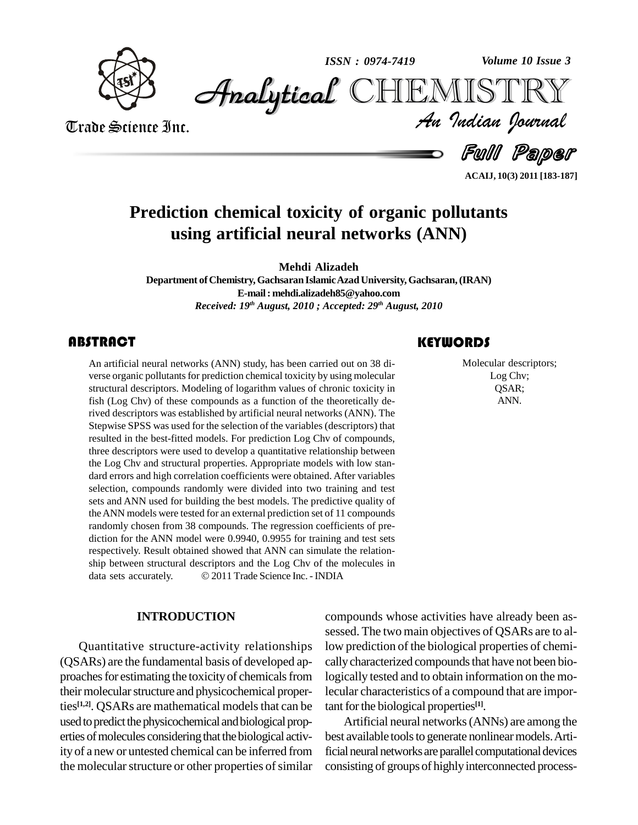

*Volume 10 Issue 3*



Trade Science Inc. Trade Science Inc.

*Volume 10 Issue 3*<br>IISTRY<br>*Indian Iournal* 

Full Paper

**ACAIJ, 10(3) 2011 [183-187]**

# **Prediction chemical toxicity of organic pollutants using artificial neural networks (ANN)**

**Mehdi Alizadeh**

**Department ofChemistry,Gachsaran IslamicAzadUniversity, Gachsaran,(IRAN) E-mail: [mehdi.alizadeh85@yahoo.com](mailto:mehdi.alizadeh85@yahoo.com)** *Received: 19 th August, 2010 ; Accepted: 29 th August, 2010*

# **ABSTRACT**

An artificial neural networks (ANN) study, has been carried out on 38 diverse organic pollutants for prediction chemical toxicity by using molecular structural descriptors. Modeling of logarithm values of chronic toxicity An artificial neural networks (ANN) study, has been carried out on 38 di verse organic pollutants for prediction chemical toxicity by using molecular fish (Log Chv) of these compounds as a function of the theoretically derived descriptors was established by artificial neural networks (ANN). The Stepwise SPSS was used for the selection of the variables (descriptors) that resulted in the best-fitted models. For prediction Log Chv of compounds, three descriptors were used to develop a quantitative relationship between the Log Chv and structural properties. Appropriate models with low stan dard errors and high correlation coefficients were obtained. After variables selection, compounds randomly were divided into two training and test sets and ANN used for building the best models. The predictive quality of theANN models were tested for an external prediction set of 11 compounds randomly chosen from 38 compounds. The regression coefficients of pre diction for the ANN model were 0.9940, 0.9955 for training and test sets respectively. Result obtained showed that ANN can simulate the relation-<br>ship between structural descriptors and the Log Chv of the molecules in<br>data sets accurately. 2011 Trade Science Inc. - INDIA ship between structural descriptors and the Log Chv of the molecules in

#### **INTRODUCTION**

Quantitative structure-activity relationships (QSARs) are the fundamental basis of developed ap proaches for estimating the toxicity of chemicals from their molecular structure and physicochemical properties<sup>[1,2]</sup>. QSARs are mathematical models that can be tant for used to predict the physicochemical and biological properties of molecules considering that the biological activity of a new or untested chemical can be inferred from the molecular structure or other properties of similar

# **KEYWORDS**

Molecular descriptions Log Chv;<br>
QSAR; Molecular descriptors; Log Chv; QSAR; ANN.

compounds whose activities have already been as sessed. The two main objectives of QSARs are to allow prediction of the biological properties of chemi cally characterized compounds that have not been biologically tested and to obtain information on the molecular characteristics of a compound that are important for the biological properties<sup>[1]</sup>.

Artificial neural networks(ANNs) are among the best available tools to generate nonlinear models. Artificial neural networks are parallel computational devices consisting of groups of highly interconnected process-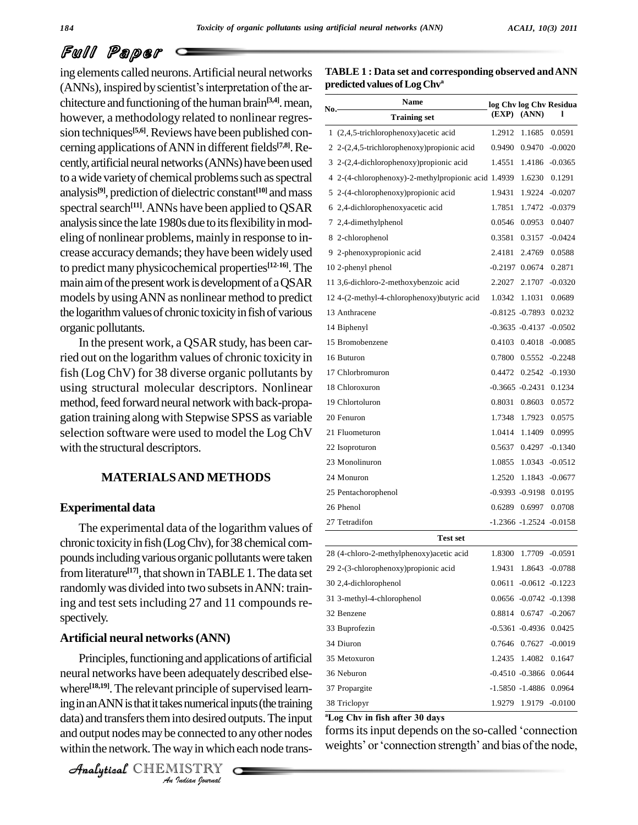# Full Paper

ing elements called neurons.Artificial neural networks  $(ANNs)$ , inspired by scientist's interpretation of the architecture and functioning of the human brain<sup>[3,4]</sup>. mean, however, a methodology related to nonlinear regres sion techniques<sup>[5,6]</sup>. Reviews have been published con-<br><sup>1 (2</sup> cerning applications of ANN in different fields<sup>[7,8]</sup>. Re-<br>2 2 cently, artificial neural networks (ANNs) have been used to a wide variety of chemical problems such as spectral analysis<sup>[9]</sup>, prediction of dielectric constant<sup>[10]</sup> and mass 5 2-0 spectral search<sup>[11]</sup>. ANNs have been applied to QSAR 6 2.4-dichlor analysis since the late 1980s due to its flexibility in modeling of nonlinear problems, mainly in response to in-crease accuracydemands; theyhave beenwidelyused to predict many physicochemical properties **[12-16]**.The main aim of the present work is development of a QSAR models byusingANN as nonlinear method to predict the logarithm values of chronic toxicity in fish of various organic pollutants.

In the present work, a QSAR study, has been carried out on the logarithm values of chronic toxicity in fish (Log ChV) for 38 diverse organic pollutants by using structural molecular descriptors. Nonlinear method, feed forward neural network with back-propagation training along with Stepwise SPSS as variable selection software were used to model the Log ChV with the structural descriptors.

## **MATERIALSAND METHODS**

#### **Experimental data**

The experimental data of the logarithm values of chronic toxicity in fish (Log Chv), for 38 chemical compounds including various organic pollutants were taken from literature<sup>[17]</sup>, that shown in TABLE 1. The data set  $\frac{29}{100}$ randomly was divided into two subsets in ANN: training and test sets including 27 and 11 compounds respectively.

#### **Artificial neural networks(ANN)**

where<sup>[18,19]</sup>. The relevant principle of supervised learn-*Indian*<br>*Into desired of*<br>*Into desired of*<br>*ISTRY*<br>*ISTRY* Analytical Contract Contract Principle of Super Chou team Principles, functioning and applications of artificial neural networks have been adequately described else data) and transfers them into desired outputs. The input within the network. The way in which each node trans-

```
CHEMISTRY
```

| TABLE 1 : Data set and corresponding observed and ANN |  |
|-------------------------------------------------------|--|
| predicted values of Log Chv <sup>a</sup>              |  |

|     | Name                                                 |        |                             | log Chv log Chv Residua |  |
|-----|------------------------------------------------------|--------|-----------------------------|-------------------------|--|
| No. | <b>Training set</b>                                  | (EXP)  | (ANN)                       | ı                       |  |
|     | 1 (2,4,5-trichlorophenoxy) acetic acid               | 1.2912 | 1.1685                      | 0.0591                  |  |
|     | 2 2-(2,4,5-trichlorophenoxy) propionic acid          | 0.9490 | 0.9470                      | $-0.0020$               |  |
|     | 3 2-(2,4-dichlorophenoxy) propionic acid             | 1.4551 | 1.4186                      | $-0.0365$               |  |
|     | 4 2-(4-chlorophenoxy)-2-methylpropionic acid 1.4939  |        | 1.6230                      | 0.1291                  |  |
|     | 5 2-(4-chlorophenoxy) propionic acid                 | 1.9431 | 1.9224                      | $-0.0207$               |  |
|     | 6 2,4-dichlorophenoxyacetic acid                     | 1.7851 | 1.7472                      | $-0.0379$               |  |
|     | 7 2,4-dimethylphenol                                 |        | 0.0546 0.0953               | 0.0407                  |  |
|     | 8 2-chlorophenol                                     | 0.3581 | 0.3157                      | $-0.0424$               |  |
|     | 9 2-phenoxypropionic acid                            | 2.4181 | 2.4769                      | 0.0588                  |  |
|     | 10 2-phenyl phenol                                   |        | $-0.2197$ 0.0674            | 0.2871                  |  |
|     | 11 3,6-dichloro-2-methoxybenzoic acid                | 2.2027 | 2.1707                      | $-0.0320$               |  |
|     | 12 4-(2-methyl-4-chlorophenoxy) butyric acid         | 1.0342 | 1.1031                      | 0.0689                  |  |
|     | 13 Anthracene                                        |        | $-0.8125 - 0.7893$          | 0.0232                  |  |
|     | 14 Biphenyl                                          |        | -0.3635 -0.4137 -0.0502     |                         |  |
|     | 15 Bromobenzene                                      |        | 0.4103 0.4018               | $-0.0085$               |  |
|     | 16 Buturon                                           | 0.7800 | 0.5552                      | $-0.2248$               |  |
|     | 17 Chlorbromuron                                     |        | 0.4472 0.2542               | -0.1930                 |  |
|     | 18 Chloroxuron                                       |        | $-0.3665 - 0.2431$          | 0.1234                  |  |
|     | 19 Chlortoluron                                      | 0.8031 | 0.8603                      | 0.0572                  |  |
|     | 20 Fenuron                                           |        | 1.7348 1.7923               | 0.0575                  |  |
|     | 21 Fluometuron                                       | 1.0414 | 1.1409                      | 0.0995                  |  |
|     | 22 Isoproturon                                       |        | 0.5637 0.4297               | $-0.1340$               |  |
|     | 23 Monolinuron                                       |        | 1.0855 1.0343               | $-0.0512$               |  |
|     | 24 Monuron                                           | 1.2520 | 1.1843                      | $-0.0677$               |  |
|     | 25 Pentachorophenol                                  |        | -0.9393 -0.9198 0.0195      |                         |  |
|     | 26 Phenol                                            |        | 0.6289 0.6997               | 0.0708                  |  |
|     | 27 Tetradifon                                        |        | $-1.2366 - 1.2524 - 0.0158$ |                         |  |
|     | <b>Test set</b>                                      |        |                             |                         |  |
|     | 28 (4-chloro-2-methylphenoxy) acetic acid            | 1.8300 |                             | 1.7709 -0.0591          |  |
|     | 29 2-(3-chlorophenoxy) propionic acid                | 1.9431 | 1.8643 -0.0788              |                         |  |
|     | 30 2,4-dichlorophenol                                |        | 0.0611 -0.0612 -0.1223      |                         |  |
|     | 31 3-methyl-4-chlorophenol                           |        | 0.0656 -0.0742 -0.1398      |                         |  |
|     | 32 Benzene                                           |        | 0.8814 0.6747 -0.2067       |                         |  |
|     | 33 Buprofezin                                        |        | -0.5361 -0.4936 0.0425      |                         |  |
|     | 34 Diuron                                            |        | 0.7646 0.7627 -0.0019       |                         |  |
|     | 35 Metoxuron                                         |        | 1.2435 1.4082               | 0.1647                  |  |
|     | 36 Neburon                                           |        | $-0.4510 - 0.3866$ 0.0644   |                         |  |
|     | 37 Propargite                                        |        | -1.5850 -1.4886 0.0964      |                         |  |
|     | 38 Triclopyr                                         | 1.9279 |                             | 1.9179 -0.0100          |  |
|     | <sup>a</sup> Log Chv in fish after 30 days           |        |                             |                         |  |
|     | forms its input depends on the so-called 'connection |        |                             |                         |  |

and output nodes may be connected to any other nodes forms its input depends on the so-called 'connection<br>within the network. The way in which each node trans-<br>weights' or 'connection strength' and bias of the node, Log Chv in fish after 30 days<br>forms its input depends on the so-called 'connection<br>weights' or 'connection strength' and bias of the node,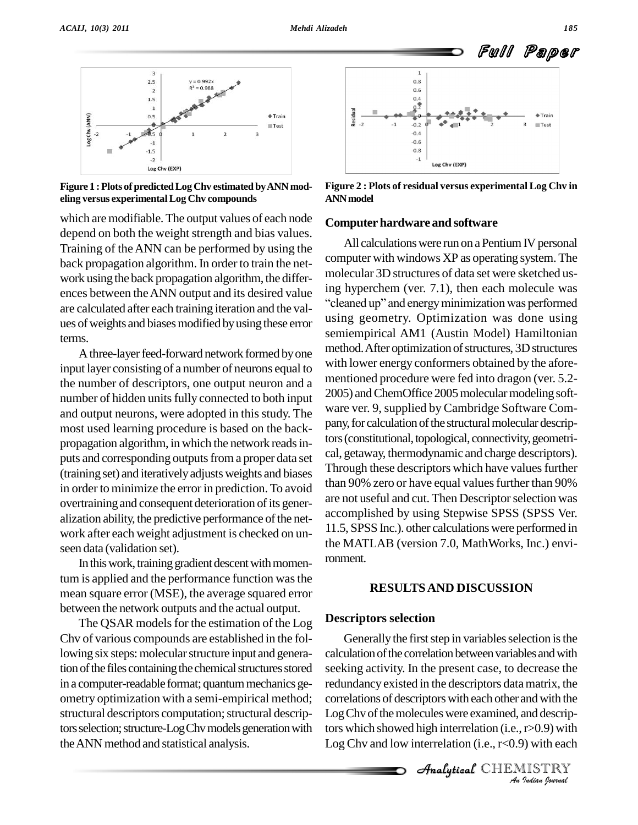

**Figure 1 :Plots of predictedLog Chv estimated byANN mod eling versus experimentalLog Chv compounds**

which are modifiable. The output values of each node depend on both the weight strength and bias values. Training of theANN can be performed by using the back propagation algorithm. In order to train the net work using the back propagation algorithm, the differ are calculated after each training iteration and the val ues of weights and biases modified by using these error terms.

A three-layer feed-forward network formed by one input layer consisting of a number of neurons equal to the number of descriptors, one output neuron and a number of hidden units fully connected to both input and output neurons, were adopted in this study. The most used learning procedure is based on the back propagation algorithm, in which the network reads inputs and corresponding outputs from a proper data set (training set) and iterativelyadjusts weights and biases in order to minimize the error in prediction. To avoid overtraining and consequent deterioration of its generalization ability, the predictive performance of the network after each weight adjustment is checked on un seen data (validation set).

In this work, training gradient descent with momentum is applied and the performance function was the mean square error (MSE), the average squared error between the network outputs and the actual output.

The QSAR models for the estimation of the Log Chv of various compounds are established in the following six steps: molecular structure input and generation of the files containing the chemical structures stored in a computer-readable format; quantum mechanics geometry optimization with a semi-empirical method; structural descriptors computation; structural descriptors selection; structure-Log Chv models generation with the ANN method and statistical analysis.



**Figure 2 : Plots of residual versus experimental Log Chv in ANNmodel**

#### **Computer hardware and software**

ences between the ANN output and its desired value<br>are calculated after each training iteration and the value "cleaned up" and energy minimization was performed All calculations were run on a Pentium IV personal computer with windows XP as operating system. The molecular 3D structures of data setwere sketched usmolecular 3D structures of data set were sketched us-<br>ing hyperchem (ver. 7.1), then each molecule was<br>"cleaned up" and energy minimization was performed using geometry. Optimization was done using semiempirical AM1 (Austin Model) Hamiltonian method. After optimization of structures, 3D structures with lower energy conformers obtained by the afore mentioned procedure were fed into dragon (ver. 5.2- 2005) and ChemOffice 2005 molecular modeling software ver. 9, supplied by Cambridge Software Com pany, for calculation of the structural molecular descriptors (constitutional, topological, connectivity, geometrical, getaway, thermodynamic and charge descriptors). Through these descriptors which have values further than 90% zero or have equal values further than 90% are not useful and cut. Then Descriptor selection was accomplished by using Stepwise SPSS (SPSS Ver. 11.5, SPSS Inc.). other calculations were performed in the MATLAB (version 7.0, MathWorks, Inc.) environment.

#### **RESULTSAND DISCUSSION**

#### **Descriptors selection**

correlations of descriptors with each other and with the **INDEXERENT FRAM**<br>*INDEX*<br>*INDEX***<br>INDEX**<br>**INDEX**<br>*INDEX*<br>*INDEX*<br>*Indian Sparmal* Generally the first step in variables selection is the calculation of the correlation between variables and with seeking activity. In the present case, to decrease the redundancy existed in the descriptors datamatrix, the Log Chv of the molecules were examined, and descriptors which showed high interrelation (i.e.,r>0.9) with Log Chv and low interrelation (i.e.,  $r<0.9$ ) with each

Analytical CHEMISTRY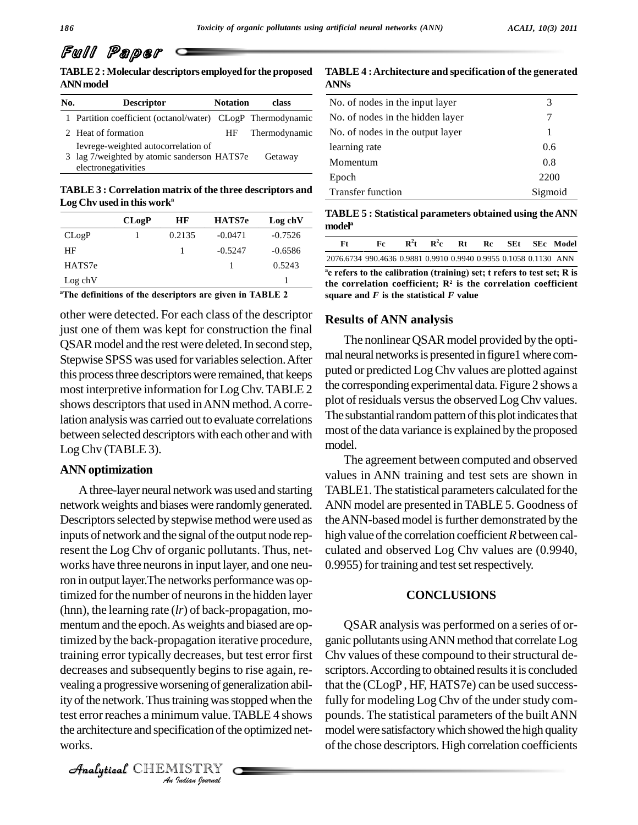# Full Paper

**TABLE2 :Molecular descriptors employed for the proposed ANNmodel**

| No. | <b>Descriptor</b>                                                                                         | <b>Notation</b> | class         |
|-----|-----------------------------------------------------------------------------------------------------------|-----------------|---------------|
|     | 1 Partition coefficient (octanol/water) CLogP Thermodynamic                                               |                 |               |
|     | 2 Heat of formation                                                                                       | HF              | Thermodynamic |
|     | Ievrege-weighted autocorrelation of<br>3 lag 7/weighted by atomic sanderson HATS7e<br>electronegativities |                 | Getaway       |

**TABLE 3 : Correlation matrix of the three descriptors and Log Chapter Chevalon Chevalon Exercise Chevalon Chevalon Chevalon<br>
<b>Log** Chv used in this work<sup>a</sup>

|         | CLo2P | HF     | HATS7e    | Log ch <sub>V</sub> |
|---------|-------|--------|-----------|---------------------|
| CLogP   |       | 0.2135 | $-0.0471$ | $-0.7526$           |
| ΗF      |       |        | $-0.5247$ | $-0.6586$           |
| HATS7e  |       |        |           | 0.5243              |
| Log chV |       |        |           |                     |

**definitions of the descriptors are given in TABLE <sup>2</sup>**

other were detected. For each class of the descriptor just one of them was kept for construction the final QSARmodel and the restwere deleted.In second step, Stepwise SPSS was used for variables selection. After this process three descriptors were remained, that keeps most interpretive information for LogChv.TABLE 2 shows descriptors that used in ANN method. A correlation analysiswas carried out to evaluate correlations between selected descriptors with each other and with LogChv (TABLE 3).

## **ANN optimization**

*Analyticality* of the network. Thus training was stopped when the fully f *Indian*<br>*Indian Indian*<br>*Indian bouwda*<br>*Indian bouwdal* Athree-layer neural network was used and starting network weights and biases were randomlygenerated. Descriptors selected by stepwise method were used as inputs of network and the signal of the output node represent the Log Chv of organic pollutants. Thus, net works have three neurons in input layer, and one neuron in output layer.The networks performancewas optimized for the number of neurons in the hidden layer (hnn), the learning rate (*lr*) of back-propagation, mo mentum and the epoch.As weights and biased are optimized by the back-propagation iterative procedure, training error typically decreases, but test error first decreases and subsequently begins to rise again, re vealing a progressiveworsening of generalization abiltest error reaches a minimum value. TABLE 4 shows the architecture and specification of the optimized networks.

CHEMISTRY

| TABLE 4 : Architecture and specification of the generated |  |
|-----------------------------------------------------------|--|
| ANNs                                                      |  |

| No. of nodes in the input layer  | 3       |
|----------------------------------|---------|
| No. of nodes in the hidden layer | 7       |
| No. of nodes in the output layer | 1       |
| learning rate                    | 0.6     |
| Momentum                         | 0.8     |
| Epoch                            | 2200    |
| <b>Transfer function</b>         | Sigmoid |

**TABLE 5 : Statistical parameters obtained using the ANN TABLE 5 :** 8<br>model<sup>a</sup>

| Ft                                                               | Fc | $\mathbf{R}^2$ t | $\mathbf{R}^2\mathbf{c}$ | Rt | Rc | SEt | - SEc - Model |
|------------------------------------------------------------------|----|------------------|--------------------------|----|----|-----|---------------|
| 2076.6734 990.4636 0.9881 0.9910 0.9940 0.9955 0.1058 0.1130 ANN |    |                  |                          |    |    |     |               |

 **refers to the calibration (training) set; <sup>t</sup> refers to test set; <sup>R</sup> is the correlation coefficient; R<sup>2</sup> is the correlation coefficient square and** *F* **is the statistical** *F* **value**

## **Results of ANN analysis**

The nonlinear QSAR model provided by the optimal neural networks is presented in figure1 where computed or predicted LogChv values are plotted against the correspondingexperimental data. Figure 2 shows a plot of residuals versus the observed Log Chv values. The substantial random pattern of this plot indicates that most of the data variance is explained by the proposed model.

The agreement between computed and observed values in ANN training and test sets are shown in TABLE1.The statistical parameters calculated forthe ANN model are presented inTABLE 5. Goodness of the ANN-based model is further demonstrated by the high value of the correlation coefficient *R* between calculated and observed Log Chv values are (0.9940, 0.9955) for training and test set respectively.

## **CONCLUSIONS**

QSAR analysis was performed on a series of or ganic pollutants using ANN method that correlate Log Chv values of these compound to their structural descriptors. According to obtained results it is concluded that the (CLogP, HF, HATS7e) can be used successfully for modeling Log Chv of the under study compounds. The statistical parameters of the builtANN model were satisfactory which showed the high quality of the chose descriptors. High correlation coefficients